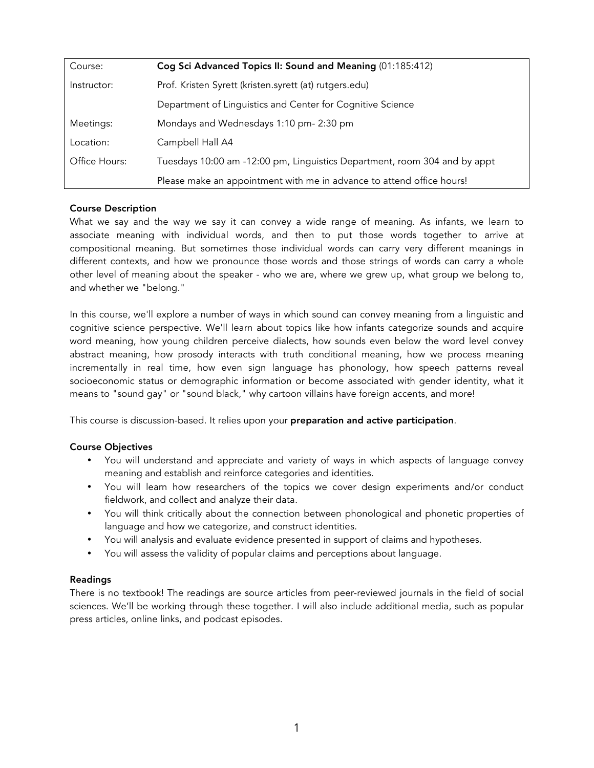| Course:       | Cog Sci Advanced Topics II: Sound and Meaning (01:185:412)                |
|---------------|---------------------------------------------------------------------------|
| Instructor:   | Prof. Kristen Syrett (kristen.syrett (at) rutgers.edu)                    |
|               | Department of Linguistics and Center for Cognitive Science                |
| Meetings:     | Mondays and Wednesdays 1:10 pm- 2:30 pm                                   |
| Location:     | Campbell Hall A4                                                          |
| Office Hours: | Tuesdays 10:00 am -12:00 pm, Linguistics Department, room 304 and by appt |
|               | Please make an appointment with me in advance to attend office hours!     |

## Course Description

What we say and the way we say it can convey a wide range of meaning. As infants, we learn to associate meaning with individual words, and then to put those words together to arrive at compositional meaning. But sometimes those individual words can carry very different meanings in different contexts, and how we pronounce those words and those strings of words can carry a whole other level of meaning about the speaker - who we are, where we grew up, what group we belong to, and whether we "belong."

In this course, we'll explore a number of ways in which sound can convey meaning from a linguistic and cognitive science perspective. We'll learn about topics like how infants categorize sounds and acquire word meaning, how young children perceive dialects, how sounds even below the word level convey abstract meaning, how prosody interacts with truth conditional meaning, how we process meaning incrementally in real time, how even sign language has phonology, how speech patterns reveal socioeconomic status or demographic information or become associated with gender identity, what it means to "sound gay" or "sound black," why cartoon villains have foreign accents, and more!

This course is discussion-based. It relies upon your **preparation and active participation**.

## Course Objectives

- You will understand and appreciate and variety of ways in which aspects of language convey meaning and establish and reinforce categories and identities.
- You will learn how researchers of the topics we cover design experiments and/or conduct fieldwork, and collect and analyze their data.
- You will think critically about the connection between phonological and phonetic properties of language and how we categorize, and construct identities.
- You will analysis and evaluate evidence presented in support of claims and hypotheses.
- You will assess the validity of popular claims and perceptions about language.

## Readings

There is no textbook! The readings are source articles from peer-reviewed journals in the field of social sciences. We'll be working through these together. I will also include additional media, such as popular press articles, online links, and podcast episodes.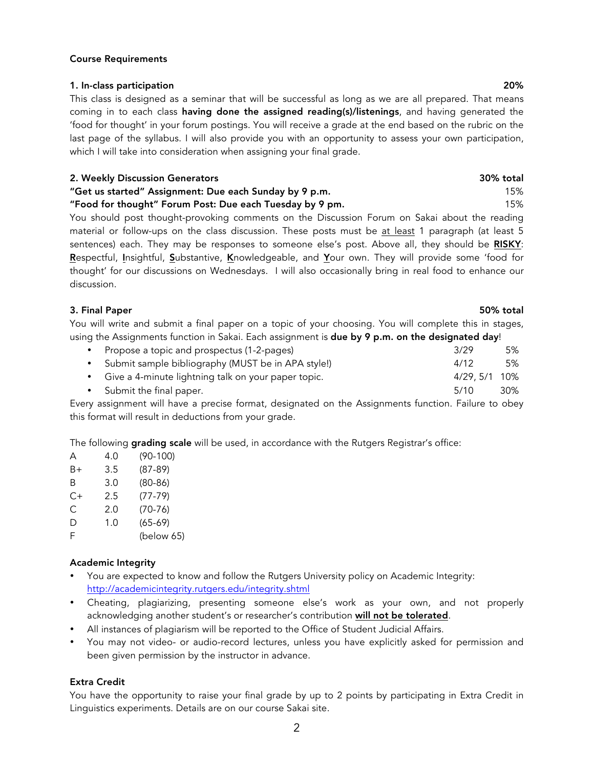Course Requirements

This class is designed as a seminar that will be successful as long as we are all prepared. That means coming in to each class having done the assigned reading(s)/listenings, and having generated the 'food for thought' in your forum postings. You will receive a grade at the end based on the rubric on the last page of the syllabus. I will also provide you with an opportunity to assess your own participation, which I will take into consideration when assigning your final grade.

#### 2. Weekly Discussion Generators 30% total

# "Get us started" Assignment: Due each Sunday by 9 p.m. 15%

"Food for thought" Forum Post: Due each Tuesday by 9 pm. 15%

You should post thought-provoking comments on the Discussion Forum on Sakai about the reading material or follow-ups on the class discussion. These posts must be at least 1 paragraph (at least 5 sentences) each. They may be responses to someone else's post. Above all, they should be RISKY: Respectful, Insightful, Substantive, Knowledgeable, and Your own. They will provide some 'food for thought' for our discussions on Wednesdays. I will also occasionally bring in real food to enhance our discussion.

#### 3. Final Paper 50% total

You will write and submit a final paper on a topic of your choosing. You will complete this in stages, using the Assignments function in Sakai. Each assignment is due by 9 p.m. on the designated day!

| • Propose a topic and prospectus (1-2-pages)          | 3/29         | 5%  |
|-------------------------------------------------------|--------------|-----|
| • Submit sample bibliography (MUST be in APA style!)  | 4/12         | .5% |
| • Give a 4-minute lightning talk on your paper topic. | 4/29.5/1 10% |     |
| • Submit the final paper.                             | 5/10         | 30% |

Every assignment will have a precise format, designated on the Assignments function. Failure to obey this format will result in deductions from your grade.

The following **grading scale** will be used, in accordance with the Rutgers Registrar's office:

| А  | 4.0 | $(90-100)$ |
|----|-----|------------|
| B+ | 3.5 | $(87-89)$  |
| Β  | 3.0 | $(80-86)$  |
| C+ | 2.5 | $(77-79)$  |
| С  | 2.0 | $(70-76)$  |
| D  | 1.0 | $(65-69)$  |
| F  |     | (below 65) |

#### Academic Integrity

- You are expected to know and follow the Rutgers University policy on Academic Integrity: http://academicintegrity.rutgers.edu/integrity.shtml
- Cheating, plagiarizing, presenting someone else's work as your own, and not properly acknowledging another student's or researcher's contribution will not be tolerated.
- All instances of plagiarism will be reported to the Office of Student Judicial Affairs.
- You may not video- or audio-record lectures, unless you have explicitly asked for permission and been given permission by the instructor in advance.

#### Extra Credit

You have the opportunity to raise your final grade by up to 2 points by participating in Extra Credit in Linguistics experiments. Details are on our course Sakai site.

#### 1. In-class participation 20%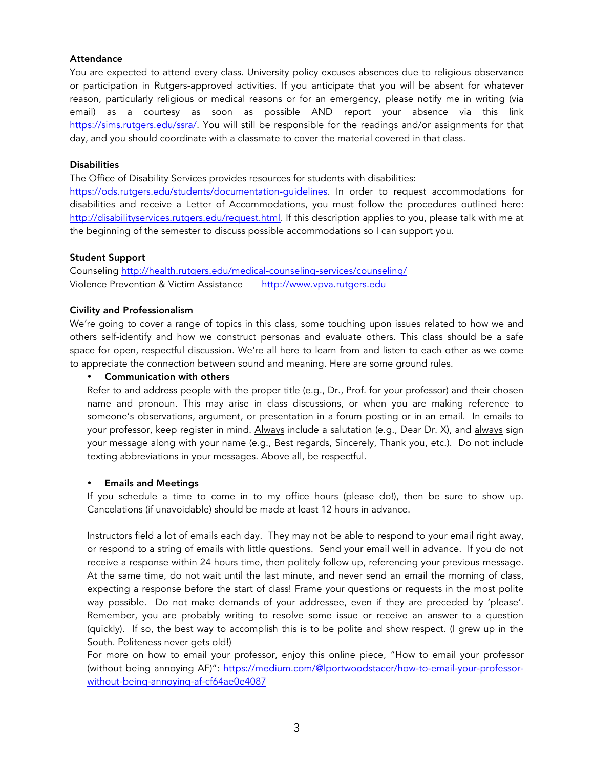## Attendance

You are expected to attend every class. University policy excuses absences due to religious observance or participation in Rutgers-approved activities. If you anticipate that you will be absent for whatever reason, particularly religious or medical reasons or for an emergency, please notify me in writing (via email) as a courtesy as soon as possible AND report your absence via this link https://sims.rutgers.edu/ssra/. You will still be responsible for the readings and/or assignments for that day, and you should coordinate with a classmate to cover the material covered in that class.

### **Disabilities**

The Office of Disability Services provides resources for students with disabilities:

https://ods.rutgers.edu/students/documentation-guidelines. In order to request accommodations for disabilities and receive a Letter of Accommodations, you must follow the procedures outlined here: http://disabilityservices.rutgers.edu/request.html. If this description applies to you, please talk with me at the beginning of the semester to discuss possible accommodations so I can support you.

## Student Support

Counseling http://health.rutgers.edu/medical-counseling-services/counseling/ Violence Prevention & Victim Assistance http://www.vpva.rutgers.edu

## Civility and Professionalism

We're going to cover a range of topics in this class, some touching upon issues related to how we and others self-identify and how we construct personas and evaluate others. This class should be a safe space for open, respectful discussion. We're all here to learn from and listen to each other as we come to appreciate the connection between sound and meaning. Here are some ground rules.

## • Communication with others

Refer to and address people with the proper title (e.g., Dr., Prof. for your professor) and their chosen name and pronoun. This may arise in class discussions, or when you are making reference to someone's observations, argument, or presentation in a forum posting or in an email. In emails to your professor, keep register in mind. Always include a salutation (e.g., Dear Dr. X), and always sign your message along with your name (e.g., Best regards, Sincerely, Thank you, etc.). Do not include texting abbreviations in your messages. Above all, be respectful.

## • Emails and Meetings

If you schedule a time to come in to my office hours (please do!), then be sure to show up. Cancelations (if unavoidable) should be made at least 12 hours in advance.

Instructors field a lot of emails each day. They may not be able to respond to your email right away, or respond to a string of emails with little questions. Send your email well in advance. If you do not receive a response within 24 hours time, then politely follow up, referencing your previous message. At the same time, do not wait until the last minute, and never send an email the morning of class, expecting a response before the start of class! Frame your questions or requests in the most polite way possible. Do not make demands of your addressee, even if they are preceded by 'please'. Remember, you are probably writing to resolve some issue or receive an answer to a question (quickly). If so, the best way to accomplish this is to be polite and show respect. (I grew up in the South. Politeness never gets old!)

For more on how to email your professor, enjoy this online piece, "How to email your professor (without being annoying AF)": https://medium.com/@lportwoodstacer/how-to-email-your-professorwithout-being-annoying-af-cf64ae0e4087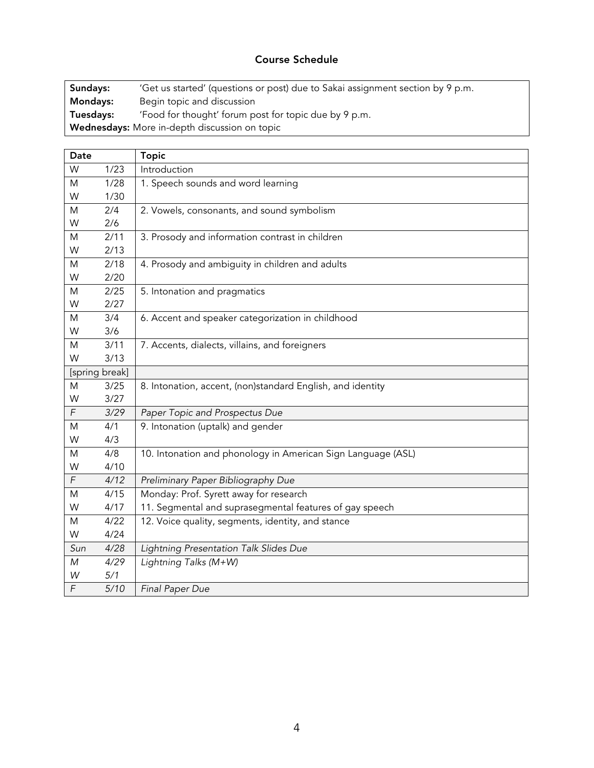# Course Schedule

Sundays: 'Get us started' (questions or post) due to Sakai assignment section by 9 p.m. Mondays: Begin topic and discussion Tuesdays: 'Food for thought' forum post for topic due by 9 p.m. Wednesdays: More in-depth discussion on topic

| Date           |      | <b>Topic</b>                                                 |
|----------------|------|--------------------------------------------------------------|
| W              | 1/23 | Introduction                                                 |
| M              | 1/28 | 1. Speech sounds and word learning                           |
| W              | 1/30 |                                                              |
| M              | 2/4  | 2. Vowels, consonants, and sound symbolism                   |
| W              | 2/6  |                                                              |
| M              | 2/11 | 3. Prosody and information contrast in children              |
| W              | 2/13 |                                                              |
| M              | 2/18 | 4. Prosody and ambiguity in children and adults              |
| W              | 2/20 |                                                              |
| M              | 2/25 | 5. Intonation and pragmatics                                 |
| W              | 2/27 |                                                              |
| M              | 3/4  | 6. Accent and speaker categorization in childhood            |
| W              | 3/6  |                                                              |
| M              | 3/11 | 7. Accents, dialects, villains, and foreigners               |
| W              | 3/13 |                                                              |
| [spring break] |      |                                                              |
| M              | 3/25 | 8. Intonation, accent, (non)standard English, and identity   |
| W              | 3/27 |                                                              |
| F              | 3/29 | Paper Topic and Prospectus Due                               |
| M              | 4/1  | 9. Intonation (uptalk) and gender                            |
| W              | 4/3  |                                                              |
| M              | 4/8  | 10. Intonation and phonology in American Sign Language (ASL) |
| W              | 4/10 |                                                              |
| F              | 4/12 | Preliminary Paper Bibliography Due                           |
| M              | 4/15 | Monday: Prof. Syrett away for research                       |
| W              | 4/17 | 11. Segmental and suprasegmental features of gay speech      |
| M              | 4/22 | 12. Voice quality, segments, identity, and stance            |
| W              | 4/24 |                                                              |
| Sun            | 4/28 | Lightning Presentation Talk Slides Due                       |
| M              | 4/29 | Lightning Talks (M+W)                                        |
| W              | 5/1  |                                                              |
| F              | 5/10 | <b>Final Paper Due</b>                                       |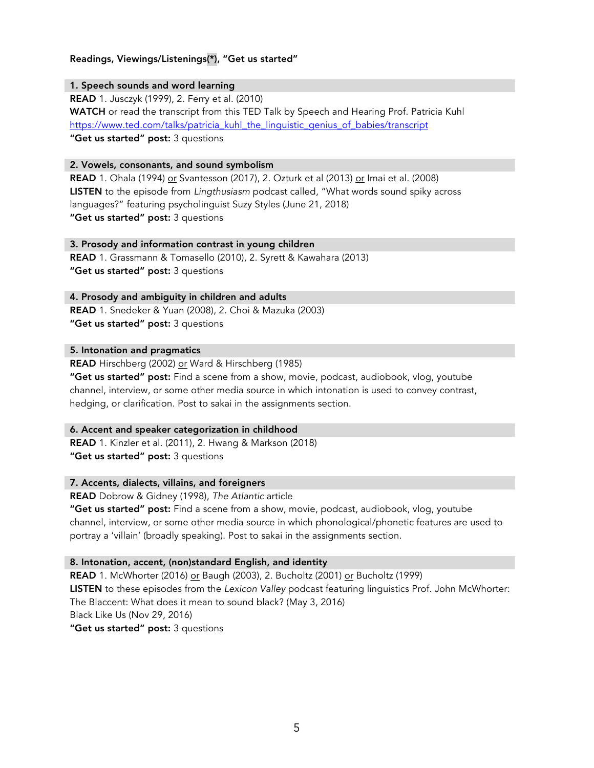# Readings, Viewings/Listenings(\*), "Get us started"

## 1. Speech sounds and word learning

READ 1. Jusczyk (1999), 2. Ferry et al. (2010) WATCH or read the transcript from this TED Talk by Speech and Hearing Prof. Patricia Kuhl https://www.ted.com/talks/patricia\_kuhl\_the\_linguistic\_genius\_of\_babies/transcript "Get us started" post: 3 questions

## 2. Vowels, consonants, and sound symbolism

READ 1. Ohala (1994) or Svantesson (2017), 2. Ozturk et al (2013) or Imai et al. (2008) LISTEN to the episode from *Lingthusiasm* podcast called, "What words sound spiky across languages?" featuring psycholinguist Suzy Styles (June 21, 2018) "Get us started" post: 3 questions

## 3. Prosody and information contrast in young children

READ 1. Grassmann & Tomasello (2010), 2. Syrett & Kawahara (2013) "Get us started" post: 3 questions

## 4. Prosody and ambiguity in children and adults

READ 1. Snedeker & Yuan (2008), 2. Choi & Mazuka (2003) "Get us started" post: 3 questions

## 5. Intonation and pragmatics

READ Hirschberg (2002) or Ward & Hirschberg (1985)

"Get us started" post: Find a scene from a show, movie, podcast, audiobook, vlog, youtube channel, interview, or some other media source in which intonation is used to convey contrast, hedging, or clarification. Post to sakai in the assignments section.

## 6. Accent and speaker categorization in childhood

READ 1. Kinzler et al. (2011), 2. Hwang & Markson (2018) "Get us started" post: 3 questions

## 7. Accents, dialects, villains, and foreigners

READ Dobrow & Gidney (1998), *The Atlantic* article

**"Get us started" post:** Find a scene from a show, movie, podcast, audiobook, vlog, youtube channel, interview, or some other media source in which phonological/phonetic features are used to portray a 'villain' (broadly speaking). Post to sakai in the assignments section.

## 8. Intonation, accent, (non)standard English, and identity

READ 1. McWhorter (2016) or Baugh (2003), 2. Bucholtz (2001) or Bucholtz (1999) LISTEN to these episodes from the *Lexicon Valley* podcast featuring linguistics Prof. John McWhorter: The Blaccent: What does it mean to sound black? (May 3, 2016) Black Like Us (Nov 29, 2016) "Get us started" post: 3 questions